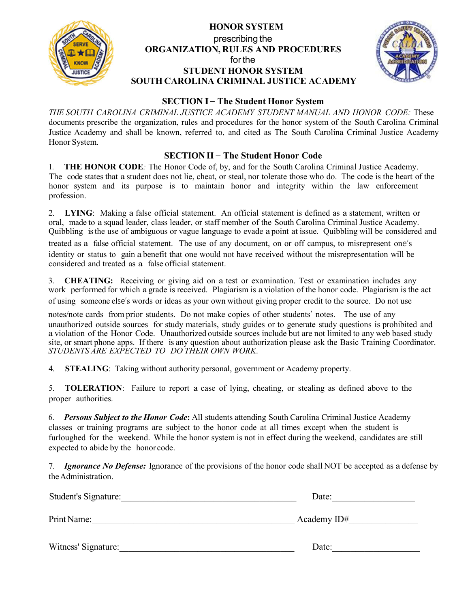

### **HONOR SYSTEM** prescribing the **ORGANIZATION, RULES AND PROCEDURES** forthe **STUDENT HONOR SYSTEM SOUTH CAROLINA CRIMINAL JUSTICE ACADEMY**



#### **SECTION I**– **The Student Honor System**

*THE SOUTH CAROLINA CRIMINAL JUSTICE ACADEMY STUDENT MANUAL AND HONOR CODE:* These documents prescribe the organization, rules and procedures for the honor system of the South Carolina Criminal Justice Academy and shall be known, referred to, and cited as The South Carolina Criminal Justice Academy Honor System.

#### **SECTION II** – **The Student Honor Code**

1. **THE HONOR CODE***:* The Honor Code of, by, and for the South Carolina Criminal Justice Academy. The code states that a student does not lie, cheat, or steal, nor tolerate those who do. The code is the heart of the honor system and its purpose is to maintain honor and integrity within the law enforcement profession.

2. **LYING**: Making a false official statement. An official statement is defined as a statement, written or oral, made to a squad leader, class leader, or staff member of the South Carolina Criminal Justice Academy. Quibbling isthe use of ambiguous or vague language to evade a point at issue. Quibbling will be considered and

treated as a false official statement. The use of any document, on or off campus, to misrepresent one's identity or status to gain a benefit that one would not have received without the misrepresentation will be considered and treated as a false official statement.

3. **CHEATING:** Receiving or giving aid on a test or examination. Test or examination includes any work performed for which a grade is received. Plagiarism is a violation of the honor code. Plagiarism is the act of using someone else's words or ideas as your own without giving proper credit to the source. Do not use

notes/note cards from prior students. Do not make copies of other students' notes. The use of any unauthorized outside sources for study materials, study guides or to generate study questions is prohibited and a violation of the Honor Code. Unauthorized outside sources include but are not limited to any web based study site, or smart phone apps. If there is any question about authorization please ask the Basic Training Coordinator. *STUDENTS ARE EXPECTED TO DO THEIR OWN WORK*.

4. **STEALING**: Taking without authority personal, government or Academy property.

5. **TOLERATION**: Failure to report a case of lying, cheating, or stealing as defined above to the proper authorities.

6. *Persons Subject to the Honor Code***:** All students attending South Carolina Criminal Justice Academy classes or training programs are subject to the honor code at all times except when the student is furloughed for the weekend. While the honor system is not in effect during the weekend, candidates are still expected to abide by the honor code.

7. *Ignorance No Defense:* Ignorance of the provisions of the honor code shall NOT be accepted as a defense by the Administration.

| Student's Signature: | Date:       |
|----------------------|-------------|
| Print Name:          | Academy ID# |
| Witness' Signature:  | Date:       |